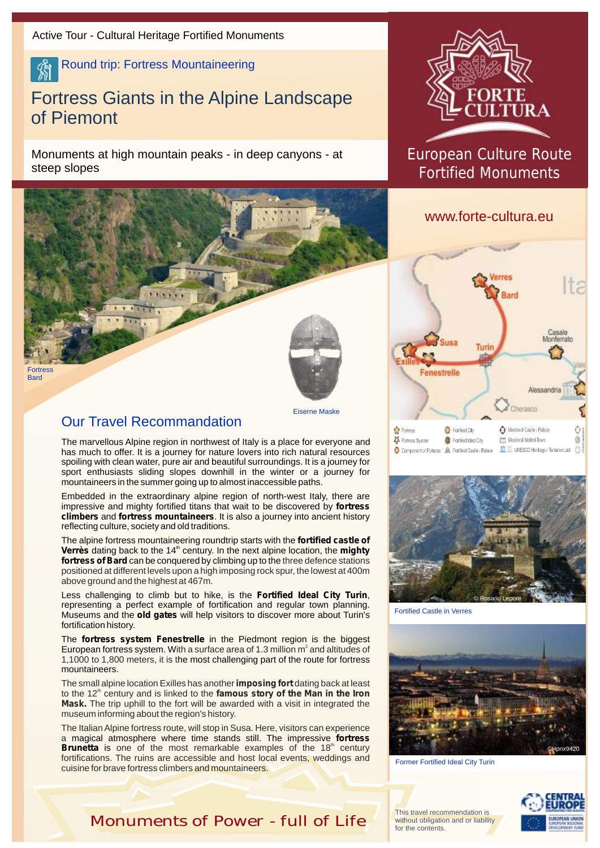Round trip: Fortress Mountaineering

## Fortress Giants in the Alpine Landscape of Piemont

Monuments at high mountain peaks - in deep canyons - at steep slopes



## European Culture Route Fortified Monuments

## www.forte-cultura.eu





Fortified Castle in Verres



Former Fortified Ideal City Turin

This travel recommendation is without obligation and or liability for the contents.



Our Travel Recommandation

Fortress **Bard** 

> The marvellous Alpine region in northwest of Italy is a place for everyone and has much to offer. It is a journey for nature lovers into rich natural resources spoiling with clean water, pure air and beautiful surroundings. It is a journey for sport enthusiasts sliding slopes downhill in the winter or a journey for mountaineers in the summer going up to almost inaccessible paths.

Eiserne Maske

Embedded in the extraordinary alpine region of north-west Italy, there are impressive and mighty fortified titans that wait to be discovered by **fortress climbers** and **fortress mountaineers**. It is also a journey into ancient history reflecting culture, society and old traditions.

The alpine fortress mountaineering roundtrip starts with the **fortified castle of Verrès** dating back to the 14<sup>th</sup> century. In the next alpine location, the **mighty fortress of Bard** can be conquered by climbing up to the three defence stations positioned at different levels upon a high imposing rock spur, the lowest at 400m above ground and the highest at 467m.

Less challenging to climb but to hike, is the **Fortified Ideal City Turin**, representing a perfect example of fortification and regular town planning. Museums and the **old gates** will help visitors to discover more about Turin's fortification history.

The **fortress system Fenestrelle** in the Piedmont region is the biggest European fortress system. With a surface area of 1.3 million  $m^2$  and altitudes of 1,1000 to 1,800 meters, it is the most challenging part of the route for fortress mountaineers.

The small alpine location Exilles has another **imposing fort** dating back at least to the 12<sup>th</sup> century and is linked to the **famous story of the Man in the Iron Mask.** The trip uphill to the fort will be awarded with a visit in integrated the museum informing about the region's history.

magical atmosphere where time stands still. The impressive **fortress**  a **Brunetta** is one of the most remarkable examples of the 18<sup>th</sup> century The Italian Alpine fortress route, will stop in Susa. Here, visitors can experience fortifications. The ruins are accessible and host local events, weddings and cuisine for brave fortress climbers and mountaineers.

*Monuments of Power - full of Life*